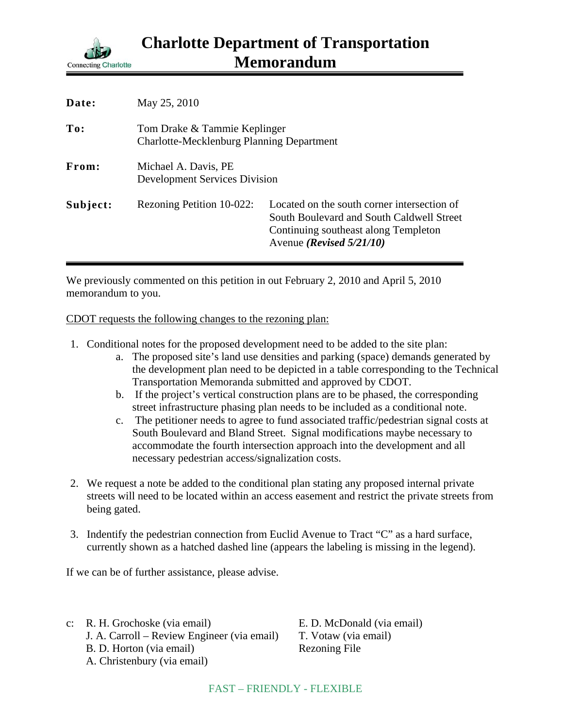

| Date:    | May 25, 2010                                                                     |                                                                                                                                                                         |
|----------|----------------------------------------------------------------------------------|-------------------------------------------------------------------------------------------------------------------------------------------------------------------------|
| To:      | Tom Drake & Tammie Keplinger<br><b>Charlotte-Mecklenburg Planning Department</b> |                                                                                                                                                                         |
| From:    | Michael A. Davis, PE<br><b>Development Services Division</b>                     |                                                                                                                                                                         |
| Subject: | Rezoning Petition 10-022:                                                        | Located on the south corner intersection of<br>South Boulevard and South Caldwell Street<br>Continuing southeast along Templeton<br>Avenue ( <i>Revised</i> $5/21/10$ ) |

We previously commented on this petition in out February 2, 2010 and April 5, 2010 memorandum to you.

CDOT requests the following changes to the rezoning plan:

- 1. Conditional notes for the proposed development need to be added to the site plan:
	- a. The proposed site's land use densities and parking (space) demands generated by the development plan need to be depicted in a table corresponding to the Technical Transportation Memoranda submitted and approved by CDOT.
	- b. If the project's vertical construction plans are to be phased, the corresponding street infrastructure phasing plan needs to be included as a conditional note.
	- c. The petitioner needs to agree to fund associated traffic/pedestrian signal costs at South Boulevard and Bland Street. Signal modifications maybe necessary to accommodate the fourth intersection approach into the development and all necessary pedestrian access/signalization costs.
- 2. We request a note be added to the conditional plan stating any proposed internal private streets will need to be located within an access easement and restrict the private streets from being gated.
- 3. Indentify the pedestrian connection from Euclid Avenue to Tract "C" as a hard surface, currently shown as a hatched dashed line (appears the labeling is missing in the legend).

If we can be of further assistance, please advise.

c: R. H. Grochoske (via email) E. D. McDonald (via email) J. A. Carroll – Review Engineer (via email) T. Votaw (via email) B. D. Horton (via email) Rezoning File A. Christenbury (via email)